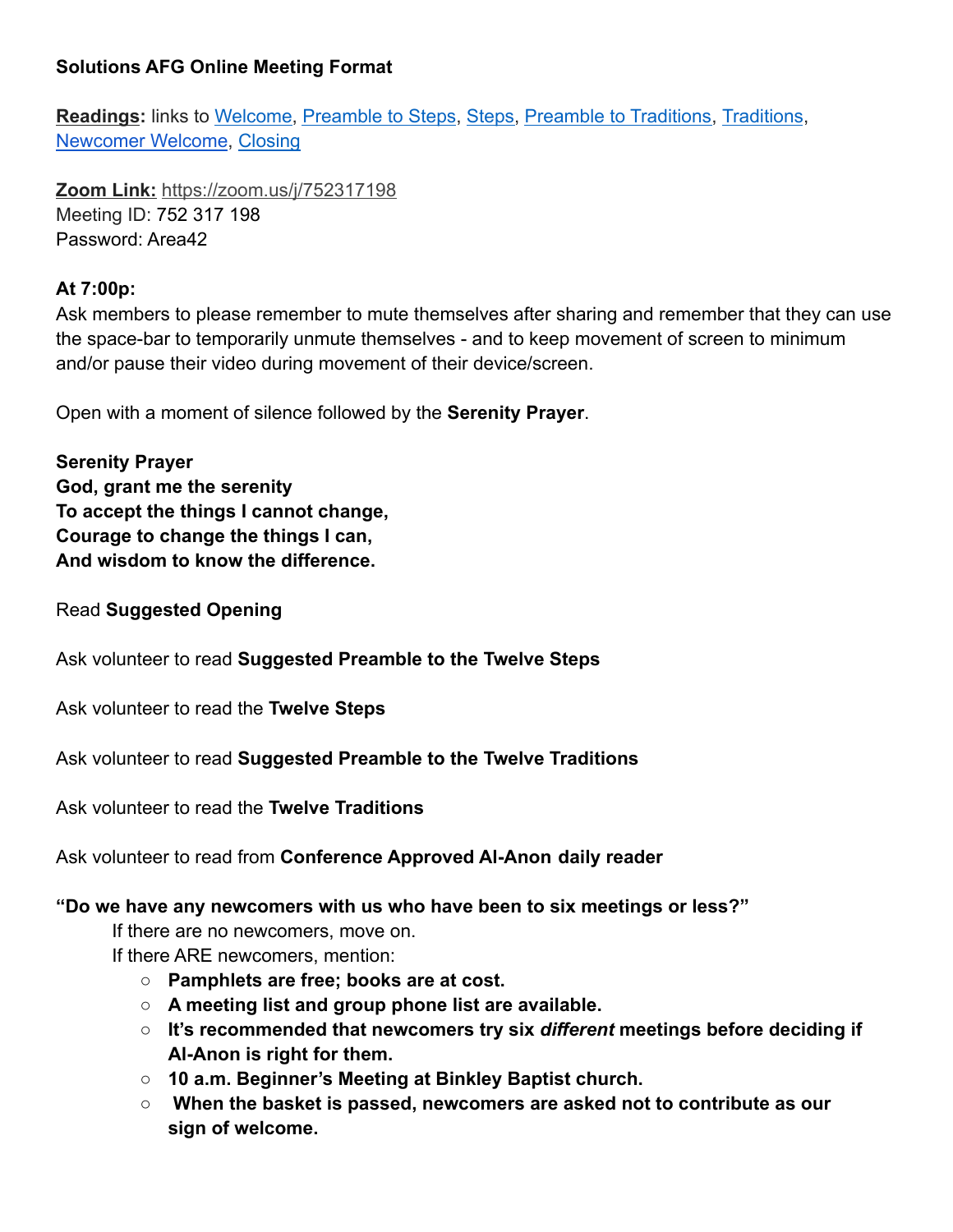# **Solutions AFG Online Meeting Format**

**Readings:** links to [Welcome,](#page-1-0) [Preamble to Steps](#page-3-0), [Steps,](#page-3-1) [Preamble to Traditions,](#page-4-0) [Traditions](#page-4-1), [Newcomer Welcome](https://docs.google.com/document/u/0/d/1P9WnxAhpWtUjXSDrveZLXJiNP5rxuzGHpjpaljtP4sc/edit), [Closing](#page-5-0)

**Zoom Link:** <https://zoom.us/j/752317198> Meeting ID: 752 317 198 Password: Area42

### **At 7:00p:**

Ask members to please remember to mute themselves after sharing and remember that they can use the space-bar to temporarily unmute themselves - and to keep movement of screen to minimum and/or pause their video during movement of their device/screen.

Open with a moment of silence followed by the **Serenity Prayer**.

**Serenity Prayer God, grant me the serenity To accept the things I cannot change, Courage to change the things I can, And wisdom to know the difference.**

Read **Suggested Opening**

Ask volunteer to read **Suggested Preamble to the Twelve Steps**

Ask volunteer to read the **Twelve Steps**

Ask volunteer to read **Suggested Preamble to the Twelve Traditions**

Ask volunteer to read the **Twelve Traditions**

Ask volunteer to read from **Conference Approved Al-Anon daily reader**

#### **"Do we have any newcomers with us who have been to six meetings or less?"**

If there are no newcomers, move on.

If there ARE newcomers, mention:

- **Pamphlets are free; books are at cost.**
- **○ A meeting list and group phone list are available.**
- **○ It's recommended that newcomers try six** *different* **meetings before deciding if Al-Anon is right for them.**
- **○ 10 a.m. Beginner's Meeting at Binkley Baptist church.**
- **○ When the basket is passed, newcomers are asked not to contribute as our sign of welcome.**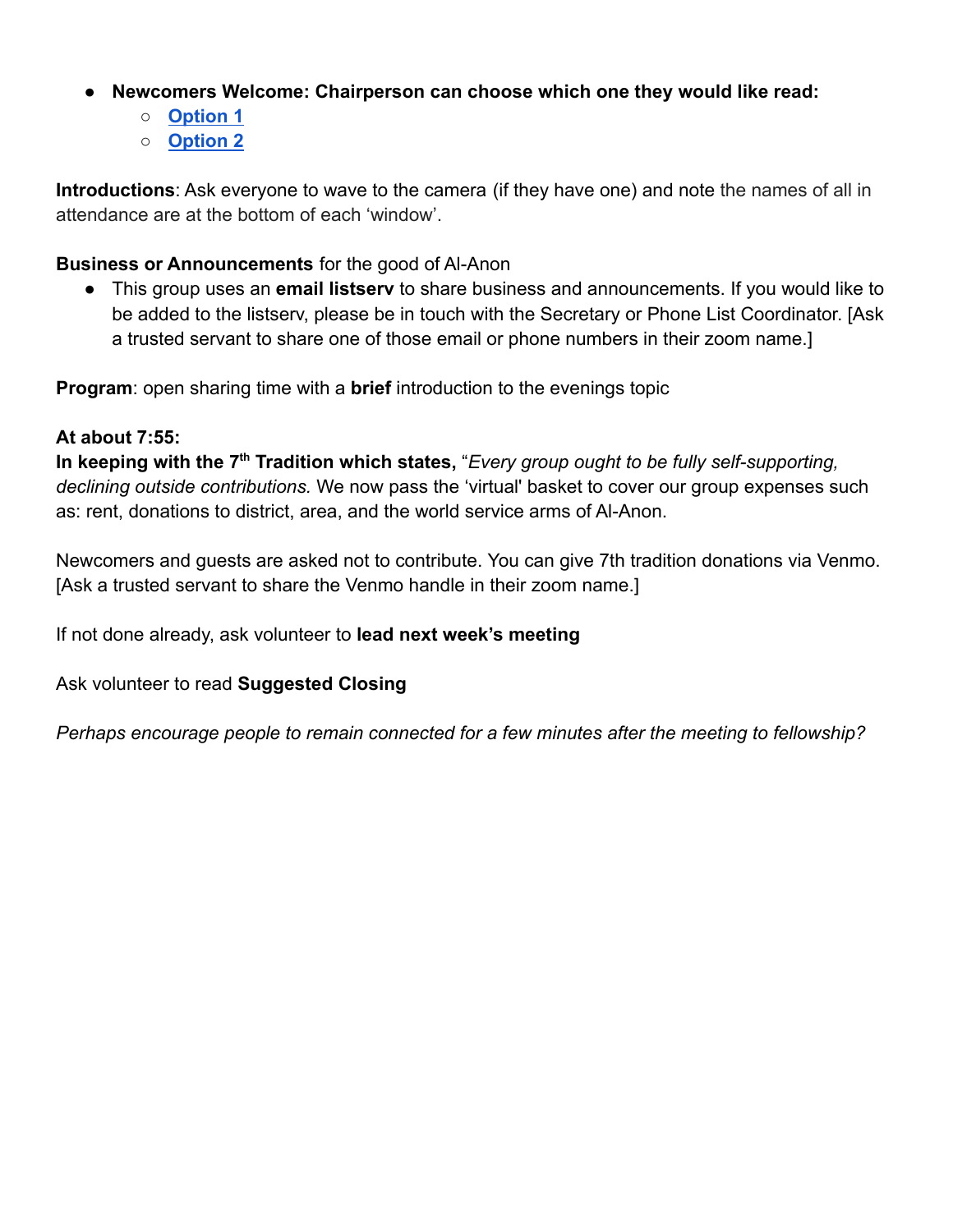- **● Newcomers Welcome: Chairperson can choose which one they would like read:**
	- **○ [Option 1](https://docs.google.com/document/u/0/d/1P9WnxAhpWtUjXSDrveZLXJiNP5rxuzGHpjpaljtP4sc/edit)**
	- **○ [Option 2](https://docs.google.com/document/u/0/d/1P9WnxAhpWtUjXSDrveZLXJiNP5rxuzGHpjpaljtP4sc/edit)**

**Introductions**: Ask everyone to wave to the camera (if they have one) and note the names of all in attendance are at the bottom of each 'window'.

#### **Business or Announcements** for the good of Al-Anon

● This group uses an **email listserv** to share business and announcements. If you would like to be added to the listserv, please be in touch with the Secretary or Phone List Coordinator. [Ask a trusted servant to share one of those email or phone numbers in their zoom name.]

**Program**: open sharing time with a **brief** introduction to the evenings topic

#### **At about 7:55:**

**In keeping with the 7th Tradition which states,** "*Every group ought to be fully self-supporting, declining outside contributions.* We now pass the 'virtual' basket to cover our group expenses such as: rent, donations to district, area, and the world service arms of Al-Anon.

Newcomers and guests are asked not to contribute. You can give 7th tradition donations via Venmo. [Ask a trusted servant to share the Venmo handle in their zoom name.]

If not done already, ask volunteer to **lead next week's meeting**

Ask volunteer to read **Suggested Closing**

<span id="page-1-0"></span>*Perhaps encourage people to remain connected for a few minutes after the meeting to fellowship?*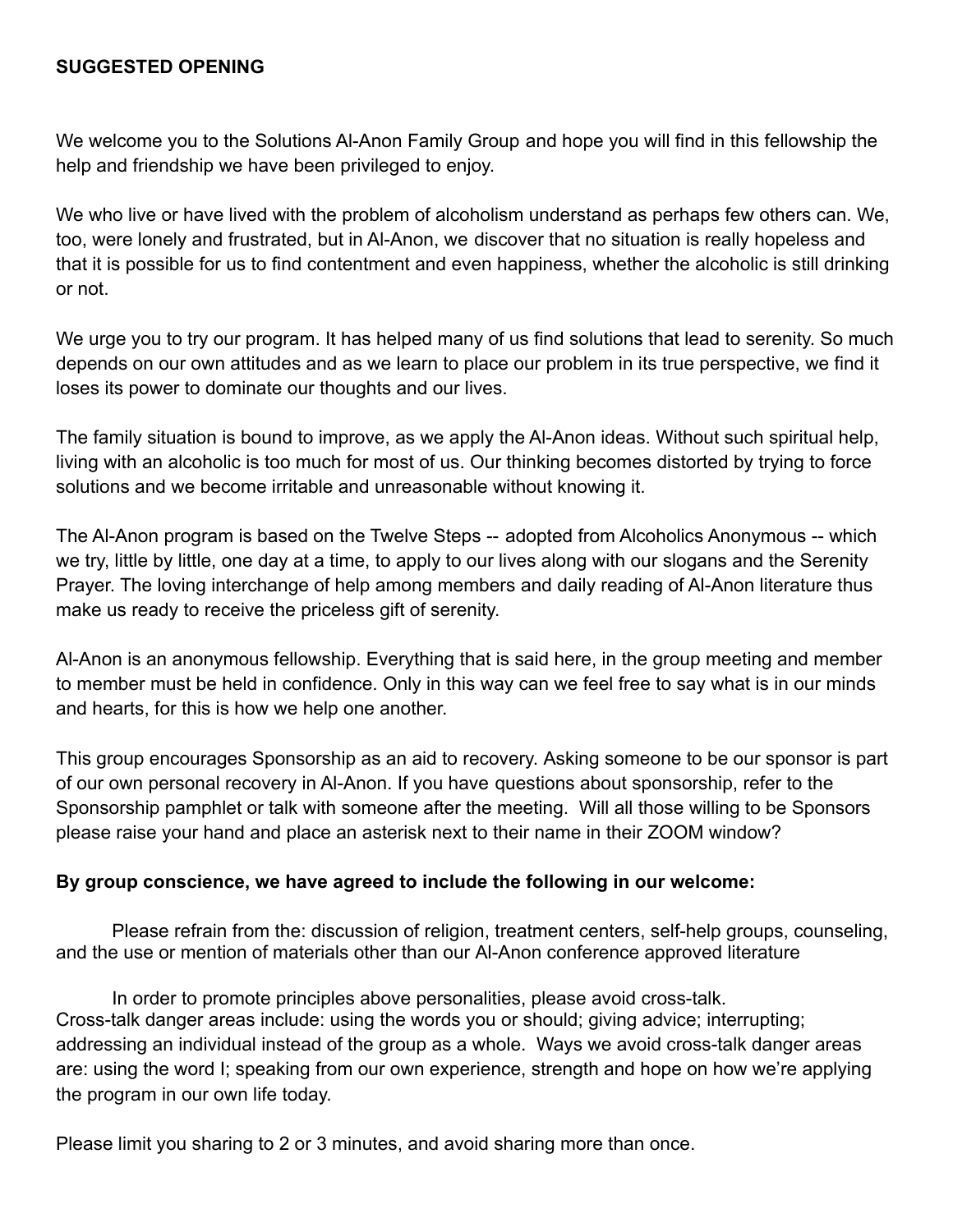#### **SUGGESTED OPENING**

We welcome you to the Solutions Al-Anon Family Group and hope you will find in this fellowship the help and friendship we have been privileged to enjoy.

We who live or have lived with the problem of alcoholism understand as perhaps few others can. We, too, were lonely and frustrated, but in Al-Anon, we discover that no situation is really hopeless and that it is possible for us to find contentment and even happiness, whether the alcoholic is still drinking or not.

We urge you to try our program. It has helped many of us find solutions that lead to serenity. So much depends on our own attitudes and as we learn to place our problem in its true perspective, we find it loses its power to dominate our thoughts and our lives.

The family situation is bound to improve, as we apply the Al-Anon ideas. Without such spiritual help, living with an alcoholic is too much for most of us. Our thinking becomes distorted by trying to force solutions and we become irritable and unreasonable without knowing it.

The Al-Anon program is based on the Twelve Steps -- adopted from Alcoholics Anonymous -- which we try, little by little, one day at a time, to apply to our lives along with our slogans and the Serenity Prayer. The loving interchange of help among members and daily reading of Al-Anon literature thus make us ready to receive the priceless gift of serenity.

Al-Anon is an anonymous fellowship. Everything that is said here, in the group meeting and member to member must be held in confidence. Only in this way can we feel free to say what is in our minds and hearts, for this is how we help one another.

This group encourages Sponsorship as an aid to recovery. Asking someone to be our sponsor is part of our own personal recovery in Al-Anon. If you have questions about sponsorship, refer to the Sponsorship pamphlet or talk with someone after the meeting. Will all those willing to be Sponsors please raise your hand and place an asterisk next to their name in their ZOOM window?

### **By group conscience, we have agreed to include the following in our welcome:**

Please refrain from the: discussion of religion, treatment centers, self-help groups, counseling, and the use or mention of materials other than our Al-Anon conference approved literature

In order to promote principles above personalities, please avoid cross-talk. Cross-talk danger areas include: using the words you or should; giving advice; interrupting; addressing an individual instead of the group as a whole. Ways we avoid cross-talk danger areas are: using the word I; speaking from our own experience, strength and hope on how we're applying the program in our own life today.

Please limit you sharing to 2 or 3 minutes, and avoid sharing more than once.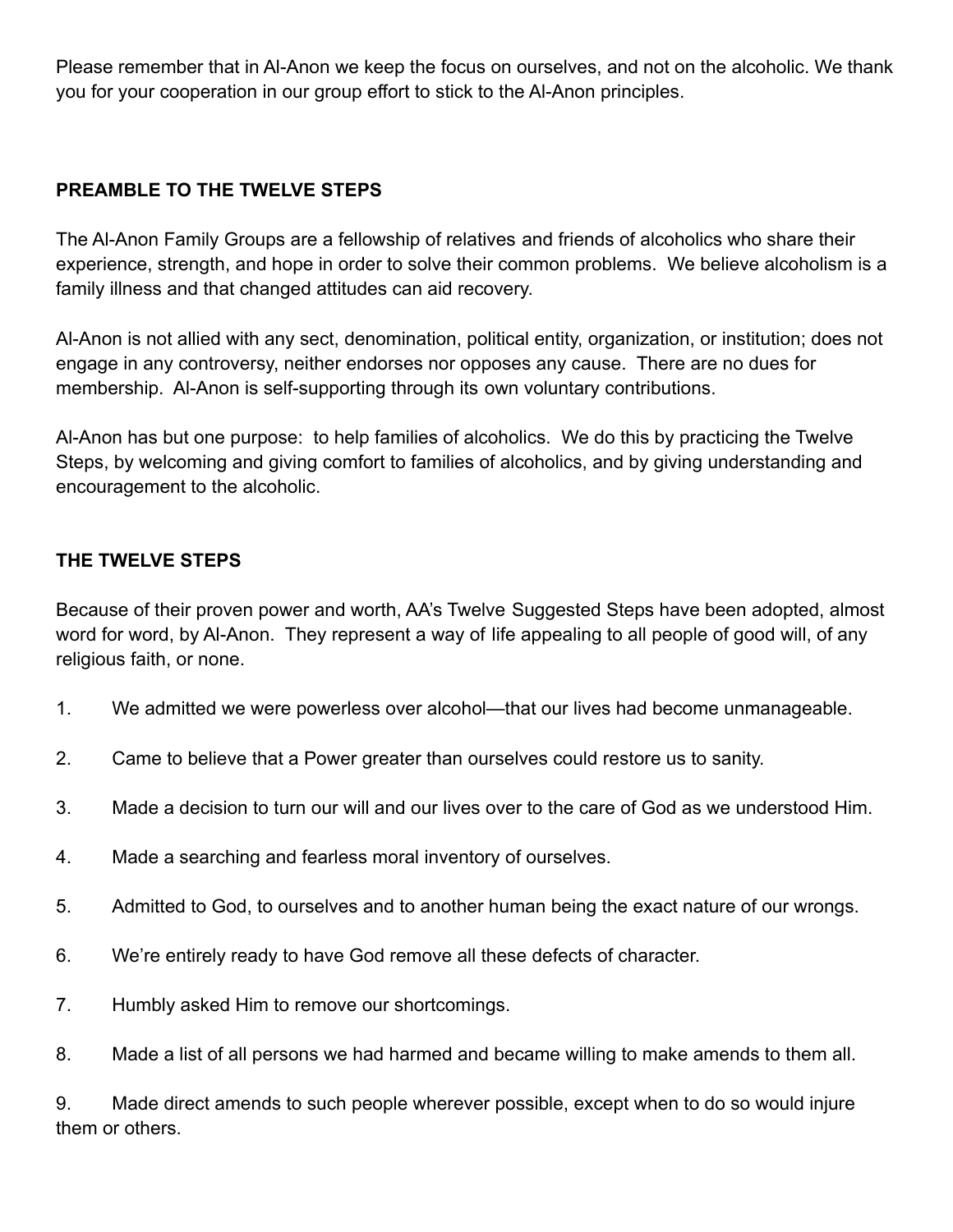Please remember that in Al-Anon we keep the focus on ourselves, and not on the alcoholic. We thank you for your cooperation in our group effort to stick to the Al-Anon principles.

# <span id="page-3-0"></span>**PREAMBLE TO THE TWELVE STEPS**

The Al-Anon Family Groups are a fellowship of relatives and friends of alcoholics who share their experience, strength, and hope in order to solve their common problems. We believe alcoholism is a family illness and that changed attitudes can aid recovery.

Al-Anon is not allied with any sect, denomination, political entity, organization, or institution; does not engage in any controversy, neither endorses nor opposes any cause. There are no dues for membership. Al-Anon is self-supporting through its own voluntary contributions.

Al-Anon has but one purpose: to help families of alcoholics. We do this by practicing the Twelve Steps, by welcoming and giving comfort to families of alcoholics, and by giving understanding and encouragement to the alcoholic.

### <span id="page-3-1"></span>**THE TWELVE STEPS**

Because of their proven power and worth, AA's Twelve Suggested Steps have been adopted, almost word for word, by Al-Anon. They represent a way of life appealing to all people of good will, of any religious faith, or none.

- 1. We admitted we were powerless over alcohol—that our lives had become unmanageable.
- 2. Came to believe that a Power greater than ourselves could restore us to sanity.
- 3. Made a decision to turn our will and our lives over to the care of God as we understood Him.
- 4. Made a searching and fearless moral inventory of ourselves.
- 5. Admitted to God, to ourselves and to another human being the exact nature of our wrongs.
- 6. We're entirely ready to have God remove all these defects of character.
- 7. Humbly asked Him to remove our shortcomings.
- 8. Made a list of all persons we had harmed and became willing to make amends to them all.

9. Made direct amends to such people wherever possible, except when to do so would injure them or others.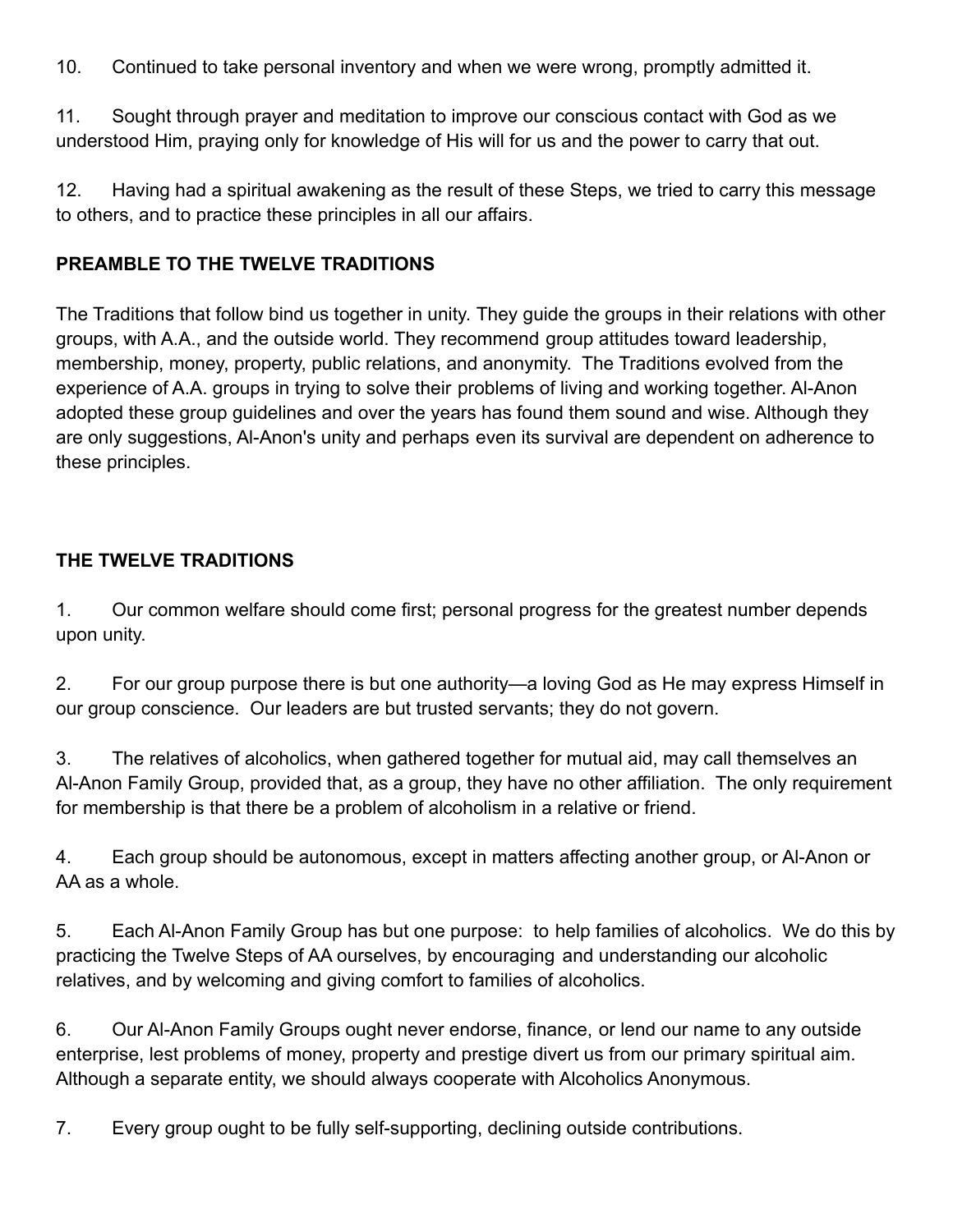10. Continued to take personal inventory and when we were wrong, promptly admitted it.

11. Sought through prayer and meditation to improve our conscious contact with God as we understood Him, praying only for knowledge of His will for us and the power to carry that out.

12. Having had a spiritual awakening as the result of these Steps, we tried to carry this message to others, and to practice these principles in all our affairs.

# <span id="page-4-0"></span>**PREAMBLE TO THE TWELVE TRADITIONS**

The Traditions that follow bind us together in unity. They guide the groups in their relations with other groups, with A.A., and the outside world. They recommend group attitudes toward leadership, membership, money, property, public relations, and anonymity. The Traditions evolved from the experience of A.A. groups in trying to solve their problems of living and working together. Al-Anon adopted these group guidelines and over the years has found them sound and wise. Although they are only suggestions, Al-Anon's unity and perhaps even its survival are dependent on adherence to these principles.

# <span id="page-4-1"></span>**THE TWELVE TRADITIONS**

1. Our common welfare should come first; personal progress for the greatest number depends upon unity.

2. For our group purpose there is but one authority—a loving God as He may express Himself in our group conscience. Our leaders are but trusted servants; they do not govern.

3. The relatives of alcoholics, when gathered together for mutual aid, may call themselves an Al-Anon Family Group, provided that, as a group, they have no other affiliation. The only requirement for membership is that there be a problem of alcoholism in a relative or friend.

4. Each group should be autonomous, except in matters affecting another group, or Al-Anon or AA as a whole.

5. Each Al-Anon Family Group has but one purpose: to help families of alcoholics. We do this by practicing the Twelve Steps of AA ourselves, by encouraging and understanding our alcoholic relatives, and by welcoming and giving comfort to families of alcoholics.

6. Our Al-Anon Family Groups ought never endorse, finance, or lend our name to any outside enterprise, lest problems of money, property and prestige divert us from our primary spiritual aim. Although a separate entity, we should always cooperate with Alcoholics Anonymous.

7. Every group ought to be fully self-supporting, declining outside contributions.